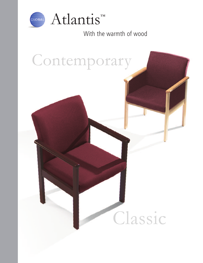

With the warmth of wood